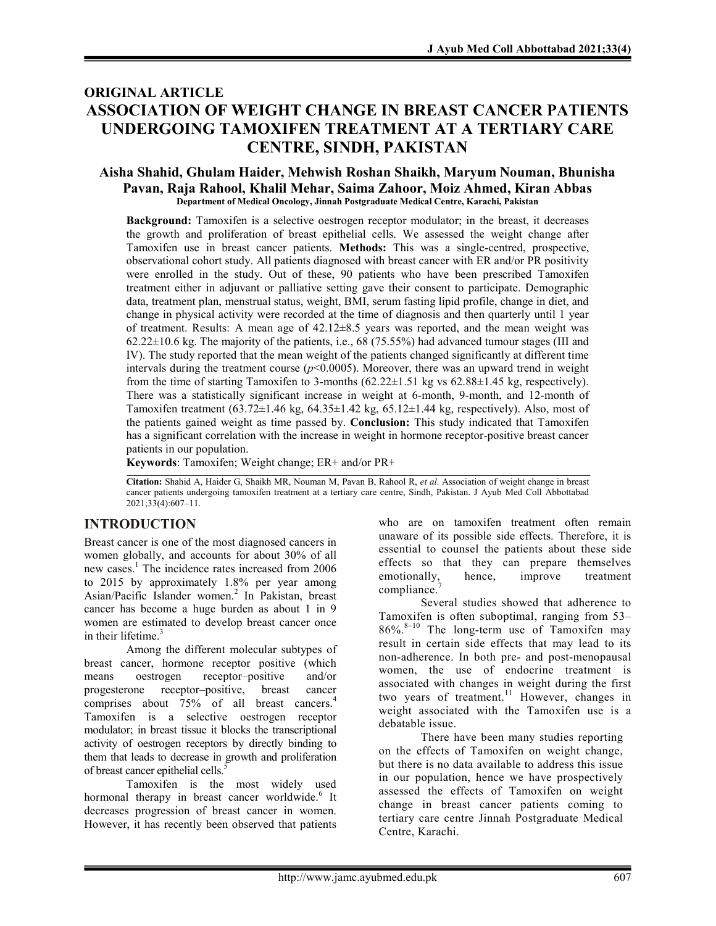# ORIGINAL ARTICLE ASSOCIATION OF WEIGHT CHANGE IN BREAST CANCER PATIENTS UNDERGOING TAMOXIFEN TREATMENT AT A TERTIARY CARE CENTRE, SINDH, PAKISTAN

### Aisha Shahid, Ghulam Haider, Mehwish Roshan Shaikh, Maryum Nouman, Bhunisha Pavan, Raja Rahool, Khalil Mehar, Saima Zahoor, Moiz Ahmed, Kiran Abbas Department of Medical Oncology, Jinnah Postgraduate Medical Centre, Karachi, Pakistan

Background: Tamoxifen is a selective oestrogen receptor modulator; in the breast, it decreases the growth and proliferation of breast epithelial cells. We assessed the weight change after Tamoxifen use in breast cancer patients. Methods: This was a single-centred, prospective, observational cohort study. All patients diagnosed with breast cancer with ER and/or PR positivity were enrolled in the study. Out of these, 90 patients who have been prescribed Tamoxifen treatment either in adjuvant or palliative setting gave their consent to participate. Demographic data, treatment plan, menstrual status, weight, BMI, serum fasting lipid profile, change in diet, and change in physical activity were recorded at the time of diagnosis and then quarterly until 1 year of treatment. Results: A mean age of 42.12±8.5 years was reported, and the mean weight was 62.22±10.6 kg. The majority of the patients, i.e., 68 (75.55%) had advanced tumour stages (III and IV). The study reported that the mean weight of the patients changed significantly at different time intervals during the treatment course ( $p \le 0.0005$ ). Moreover, there was an upward trend in weight from the time of starting Tamoxifen to 3-months  $(62.22 \pm 1.51 \text{ kg} \text{ vs } 62.88 \pm 1.45 \text{ kg}$ , respectively). There was a statistically significant increase in weight at 6-month, 9-month, and 12-month of Tamoxifen treatment  $(63.72\pm1.46 \text{ kg}, 64.35\pm1.42 \text{ kg}, 65.12\pm1.44 \text{ kg}, \text{respectively})$ . Also, most of the patients gained weight as time passed by. **Conclusion:** This study indicated that Tamoxifen has a significant correlation with the increase in weight in hormone receptor-positive breast cancer patients in our population.

Keywords: Tamoxifen; Weight change; ER+ and/or PR+

Citation: Shahid A, Haider G, Shaikh MR, Nouman M, Pavan B, Rahool R, et al. Association of weight change in breast cancer patients undergoing tamoxifen treatment at a tertiary care centre, Sindh, Pakistan. J Ayub Med Coll Abbottabad 2021;33(4):607–11.

## INTRODUCTION

Breast cancer is one of the most diagnosed cancers in women globally, and accounts for about 30% of all new cases.<sup>1</sup> The incidence rates increased from 2006 to 2015 by approximately 1.8% per year among Asian/Pacific Islander women.<sup>2</sup> In Pakistan, breast cancer has become a huge burden as about 1 in 9 women are estimated to develop breast cancer once in their lifetime. $3$ 

Among the different molecular subtypes of breast cancer, hormone receptor positive (which means oestrogen receptor–positive and/or progesterone receptor–positive, breast cancer comprises about 75% of all breast cancers.<sup>4</sup> Tamoxifen is a selective oestrogen receptor modulator; in breast tissue it blocks the transcriptional activity of oestrogen receptors by directly binding to them that leads to decrease in growth and proliferation of breast cancer epithelial cells.<sup>5</sup>

Tamoxifen is the most widely used hormonal therapy in breast cancer worldwide.<sup>6</sup> It decreases progression of breast cancer in women. However, it has recently been observed that patients

who are on tamoxifen treatment often remain unaware of its possible side effects. Therefore, it is essential to counsel the patients about these side effects so that they can prepare themselves emotionally, hence, improve treatment compliance.

Several studies showed that adherence to Tamoxifen is often suboptimal, ranging from 53–  $86\%$ .<sup>8–10</sup> The long-term use of Tamoxifen may result in certain side effects that may lead to its non-adherence. In both pre- and post-menopausal women, the use of endocrine treatment is associated with changes in weight during the first two years of treatment.<sup>11</sup> However, changes in weight associated with the Tamoxifen use is a debatable issue.

There have been many studies reporting on the effects of Tamoxifen on weight change, but there is no data available to address this issue in our population, hence we have prospectively assessed the effects of Tamoxifen on weight change in breast cancer patients coming to tertiary care centre Jinnah Postgraduate Medical Centre, Karachi.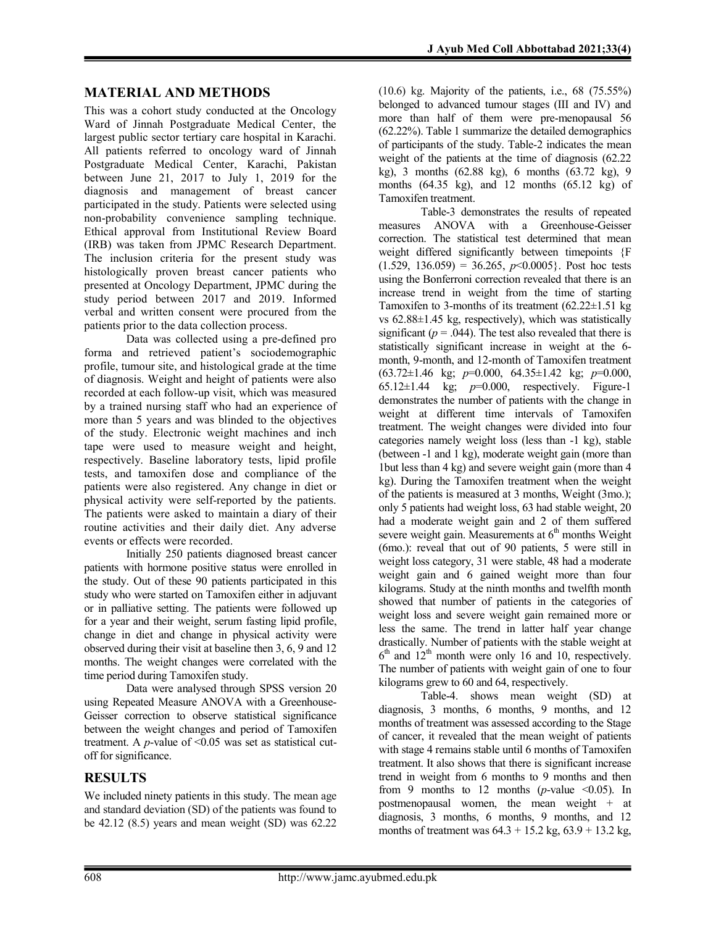## MATERIAL AND METHODS

This was a cohort study conducted at the Oncology Ward of Jinnah Postgraduate Medical Center, the largest public sector tertiary care hospital in Karachi. All patients referred to oncology ward of Jinnah Postgraduate Medical Center, Karachi, Pakistan between June 21, 2017 to July 1, 2019 for the diagnosis and management of breast cancer participated in the study. Patients were selected using non-probability convenience sampling technique. Ethical approval from Institutional Review Board (IRB) was taken from JPMC Research Department. The inclusion criteria for the present study was histologically proven breast cancer patients who presented at Oncology Department, JPMC during the study period between 2017 and 2019. Informed verbal and written consent were procured from the patients prior to the data collection process.

Data was collected using a pre-defined pro forma and retrieved patient's sociodemographic profile, tumour site, and histological grade at the time of diagnosis. Weight and height of patients were also recorded at each follow-up visit, which was measured by a trained nursing staff who had an experience of more than 5 years and was blinded to the objectives of the study. Electronic weight machines and inch tape were used to measure weight and height, respectively. Baseline laboratory tests, lipid profile tests, and tamoxifen dose and compliance of the patients were also registered. Any change in diet or physical activity were self-reported by the patients. The patients were asked to maintain a diary of their routine activities and their daily diet. Any adverse events or effects were recorded.

Initially 250 patients diagnosed breast cancer patients with hormone positive status were enrolled in the study. Out of these 90 patients participated in this study who were started on Tamoxifen either in adjuvant or in palliative setting. The patients were followed up for a year and their weight, serum fasting lipid profile, change in diet and change in physical activity were observed during their visit at baseline then 3, 6, 9 and 12 months. The weight changes were correlated with the time period during Tamoxifen study.

Data were analysed through SPSS version 20 using Repeated Measure ANOVA with a Greenhouse-Geisser correction to observe statistical significance between the weight changes and period of Tamoxifen treatment. A  $p$ -value of <0.05 was set as statistical cutoff for significance.

## **RESULTS**

We included ninety patients in this study. The mean age and standard deviation (SD) of the patients was found to be 42.12 (8.5) years and mean weight (SD) was 62.22 (10.6) kg. Majority of the patients, i.e., 68 (75.55%) belonged to advanced tumour stages (III and IV) and more than half of them were pre-menopausal 56 (62.22%). Table 1 summarize the detailed demographics of participants of the study. Table-2 indicates the mean weight of the patients at the time of diagnosis (62.22 kg), 3 months (62.88 kg), 6 months (63.72 kg), 9 months  $(64.35 \text{ kg})$ , and 12 months  $(65.12 \text{ kg})$  of Tamoxifen treatment.

Table-3 demonstrates the results of repeated measures ANOVA with a Greenhouse-Geisser correction. The statistical test determined that mean weight differed significantly between timepoints {F  $(1.529, 136.059) = 36.265, p<0.0005$ . Post hoc tests using the Bonferroni correction revealed that there is an increase trend in weight from the time of starting Tamoxifen to 3-months of its treatment  $(62.22 \pm 1.51 \text{ kg})$ vs 62.88±1.45 kg, respectively), which was statistically significant ( $p = .044$ ). The test also revealed that there is statistically significant increase in weight at the 6 month, 9-month, and 12-month of Tamoxifen treatment  $(63.72 \pm 1.46 \text{ kg}; \ p=0.000, \ 64.35 \pm 1.42 \text{ kg}; \ p=0.000,$ 65.12 $\pm$ 1.44 kg;  $p=0.000$ , respectively. Figure-1 demonstrates the number of patients with the change in weight at different time intervals of Tamoxifen treatment. The weight changes were divided into four categories namely weight loss (less than -1 kg), stable (between -1 and 1 kg), moderate weight gain (more than 1but less than 4 kg) and severe weight gain (more than 4 kg). During the Tamoxifen treatment when the weight of the patients is measured at 3 months, Weight (3mo.); only 5 patients had weight loss, 63 had stable weight, 20 had a moderate weight gain and 2 of them suffered severe weight gain. Measurements at  $6<sup>th</sup>$  months Weight (6mo.): reveal that out of 90 patients, 5 were still in weight loss category, 31 were stable, 48 had a moderate weight gain and 6 gained weight more than four kilograms. Study at the ninth months and twelfth month showed that number of patients in the categories of weight loss and severe weight gain remained more or less the same. The trend in latter half year change drastically. Number of patients with the stable weight at  $6<sup>th</sup>$  and  $12<sup>th</sup>$  month were only 16 and 10, respectively. The number of patients with weight gain of one to four kilograms grew to 60 and 64, respectively.

Table-4. shows mean weight (SD) at diagnosis, 3 months, 6 months, 9 months, and 12 months of treatment was assessed according to the Stage of cancer, it revealed that the mean weight of patients with stage 4 remains stable until 6 months of Tamoxifen treatment. It also shows that there is significant increase trend in weight from 6 months to 9 months and then from 9 months to 12 months (*p*-value  $\leq 0.05$ ). In postmenopausal women, the mean weight + at diagnosis, 3 months, 6 months, 9 months, and 12 months of treatment was  $64.3 + 15.2$  kg,  $63.9 + 13.2$  kg,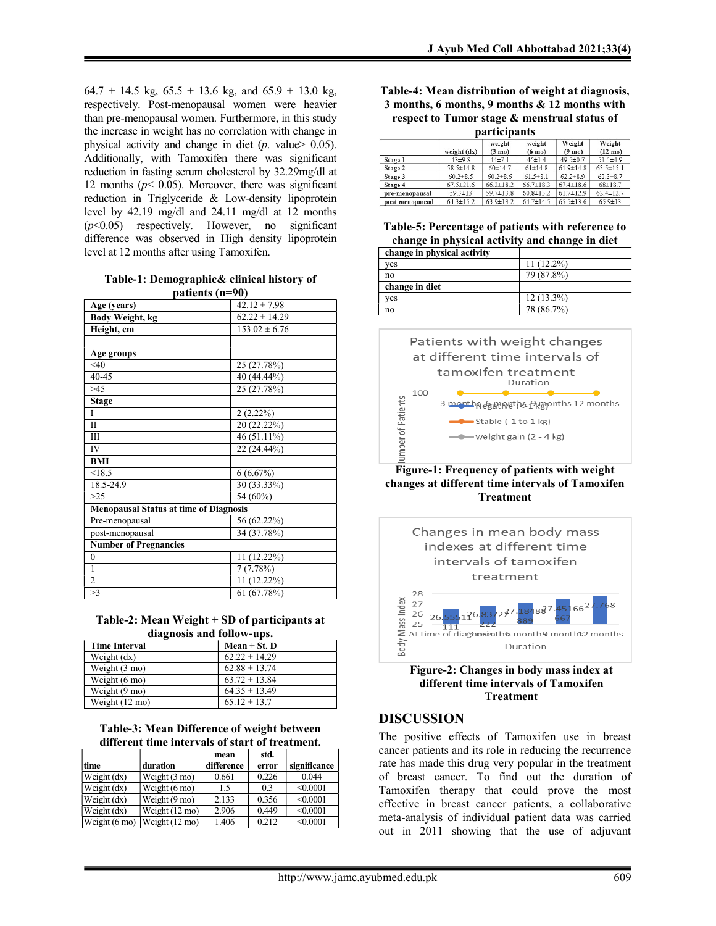$64.7 + 14.5$  kg,  $65.5 + 13.6$  kg, and  $65.9 + 13.0$  kg, respectively. Post-menopausal women were heavier than pre-menopausal women. Furthermore, in this study the increase in weight has no correlation with change in physical activity and change in diet  $(p. \text{ value} > 0.05)$ . Additionally, with Tamoxifen there was significant reduction in fasting serum cholesterol by 32.29mg/dl at 12 months ( $p$ < 0.05). Moreover, there was significant reduction in Triglyceride & Low-density lipoprotein level by 42.19 mg/dl and 24.11 mg/dl at 12 months  $(p<0.05)$  respectively. However, no significant difference was observed in High density lipoprotein level at 12 months after using Tamoxifen.

Table-1: Demographic& clinical history of patients (n=90)

| Age (years)                                   | $42.12 \pm 7.98$  |
|-----------------------------------------------|-------------------|
| Body Weight, kg                               | $62.22 \pm 14.29$ |
| Height, cm                                    | $153.02 \pm 6.76$ |
|                                               |                   |
| Age groups                                    |                   |
| $<$ 40                                        | 25 (27.78%)       |
| 40-45                                         | 40 (44.44%)       |
| >45                                           | 25 (27.78%)       |
| <b>Stage</b>                                  |                   |
| Ī                                             | 2(2.22%)          |
| H                                             | 20 (22.22%)       |
| Ш                                             | 46 (51.11%)       |
| IV                                            | 22 (24.44%)       |
| <b>BMI</b>                                    |                   |
| < 18.5                                        | 6(6.67%)          |
| 18.5-24.9                                     | 30 (33.33%)       |
| >25                                           | 54 $(60\%)$       |
| <b>Menopausal Status at time of Diagnosis</b> |                   |
| Pre-menopausal                                | 56 (62.22%)       |
| post-menopausal                               | 34 (37.78%)       |
| <b>Number of Pregnancies</b>                  |                   |
| $\theta$                                      | 11 (12.22%)       |
| 1                                             | 7(7.78%)          |
| $\overline{c}$                                | 11 (12.22%)       |
| >3                                            | 61 (67.78%)       |

Table-2: Mean Weight + SD of participants at diagnosis and follow-ups.

| <b>Time Interval</b>    | Mean $\pm$ St. D  |
|-------------------------|-------------------|
| Weight (dx)             | $62.22 \pm 14.29$ |
| Weight $(3 \text{ mo})$ | $62.88 \pm 13.74$ |
| Weight $(6 \text{ mo})$ | $63.72 \pm 13.84$ |
| Weight $(9 \text{ mo})$ | $64.35 \pm 13.49$ |
| Weight (12 mo)          | $65.12 \pm 13.7$  |

| Table-3: Mean Difference of weight between      |  |
|-------------------------------------------------|--|
| different time intervals of start of treatment. |  |

| time                    | duration                 | mean<br>difference | std.<br>error | significance |
|-------------------------|--------------------------|--------------------|---------------|--------------|
| Weight $(dx)$           | Weight (3 mo)            | 0.661              | 0.226         | 0.044        |
| Weight (dx)             | Weight $(6 \text{ mo})$  | 1.5                | 0.3           | < 0.0001     |
| Weight $(dx)$           | Weight $(9 \text{ mo})$  | 2.133              | 0.356         | < 0.0001     |
| Weight (dx)             | Weight $(12 \text{ mo})$ | 2.906              | 0.449         | < 0.0001     |
| Weight $(6 \text{ mo})$ | Weight $(12 \text{ mo})$ | 1.406              | 0.212         | < 0.0001     |

#### Table-4: Mean distribution of weight at diagnosis, 3 months, 6 months, 9 months & 12 months with respect to Tumor stage & menstrual status of participants

| par ucipants    |                 |                            |                            |                            |                             |
|-----------------|-----------------|----------------------------|----------------------------|----------------------------|-----------------------------|
|                 | weight $(dx)$   | weight<br>$(3 \text{ mo})$ | weight<br>$(6 \text{ mo})$ | Weight<br>$(9 \text{ mo})$ | Weight<br>$(12 \text{ mo})$ |
| Stage 1         | $43 + 9.8$      | $44\pm 7.1$                | $46 \pm 1.4$               | $49.5 \pm 0.7$             | $51.5 \pm 4.9$              |
| Stage 2         | 58.5±14.8       | $60 \pm 14.7$              | $61 \pm 14.8$              | $61.9 \pm 14.8$            | $63.5 \pm 15.1$             |
| Stage 3         | $60.2 \pm 8.5$  | $60.2 \pm 8.6$             | $61.5 \pm 8.1$             | $62.2 \pm 8.9$             | $62.3 \pm 8.7$              |
| Stage 4         | $67.5 \pm 21.6$ | $66.2 \pm 18.2$            | $66.7 \pm 18.3$            | $67.4 \pm 18.6$            | $68 + 18.7$                 |
| pre-menopausal  | $59.3 \pm 13$   | $59.7 \pm 13.8$            | $60.8 \pm 13.2$            | $61.7 \pm 12.9$            | $62.4 \pm 12.7$             |
| post-menopausal | $64.3 \pm 15.2$ | $63.9 \pm 13.2$            | $64.7 \pm 14.5$            | $65.5 \pm 13.6$            | $65.9 \pm 13$               |

#### Table-5: Percentage of patients with reference to change in physical activity and change in diet

| change in physical activity |              |
|-----------------------------|--------------|
| ves                         | $11(12.2\%)$ |
| no                          | 79 (87.8%)   |
| change in diet              |              |
| ves                         | $12(13.3\%)$ |
| no                          | 78 (86.7%)   |



Figure-1: Frequency of patients with weight changes at different time intervals of Tamoxifen Treatment





### DISCUSSION

The positive effects of Tamoxifen use in breast cancer patients and its role in reducing the recurrence rate has made this drug very popular in the treatment of breast cancer. To find out the duration of Tamoxifen therapy that could prove the most effective in breast cancer patients, a collaborative meta-analysis of individual patient data was carried out in 2011 showing that the use of adjuvant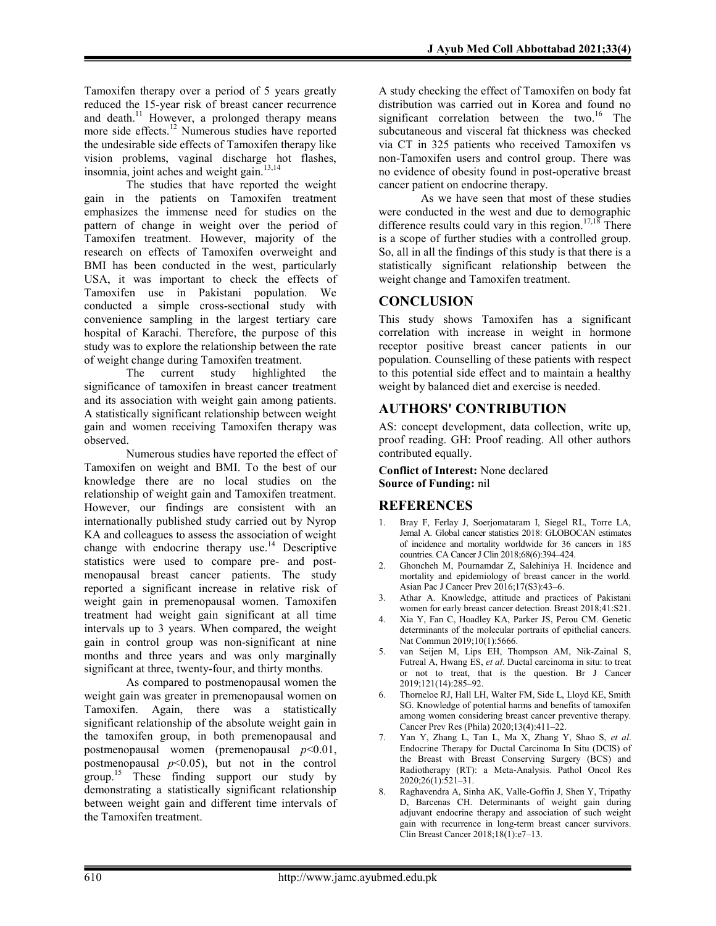Tamoxifen therapy over a period of 5 years greatly reduced the 15-year risk of breast cancer recurrence and death.<sup>11</sup> However, a prolonged therapy means more side effects.<sup>12</sup> Numerous studies have reported the undesirable side effects of Tamoxifen therapy like vision problems, vaginal discharge hot flashes, insomnia, joint aches and weight gain.<sup>13,14</sup>

The studies that have reported the weight gain in the patients on Tamoxifen treatment emphasizes the immense need for studies on the pattern of change in weight over the period of Tamoxifen treatment. However, majority of the research on effects of Tamoxifen overweight and BMI has been conducted in the west, particularly USA, it was important to check the effects of Tamoxifen use in Pakistani population. We conducted a simple cross-sectional study with convenience sampling in the largest tertiary care hospital of Karachi. Therefore, the purpose of this study was to explore the relationship between the rate of weight change during Tamoxifen treatment.

The current study highlighted the significance of tamoxifen in breast cancer treatment and its association with weight gain among patients. A statistically significant relationship between weight gain and women receiving Tamoxifen therapy was observed.

Numerous studies have reported the effect of Tamoxifen on weight and BMI. To the best of our knowledge there are no local studies on the relationship of weight gain and Tamoxifen treatment. However, our findings are consistent with an internationally published study carried out by Nyrop KA and colleagues to assess the association of weight change with endocrine therapy use.<sup>14</sup> Descriptive statistics were used to compare pre- and postmenopausal breast cancer patients. The study reported a significant increase in relative risk of weight gain in premenopausal women. Tamoxifen treatment had weight gain significant at all time intervals up to 3 years. When compared, the weight gain in control group was non-significant at nine months and three years and was only marginally significant at three, twenty-four, and thirty months.

As compared to postmenopausal women the weight gain was greater in premenopausal women on Tamoxifen. Again, there was a statistically significant relationship of the absolute weight gain in the tamoxifen group, in both premenopausal and postmenopausal women (premenopausal  $p<0.01$ , postmenopausal  $p<0.05$ ), but not in the control group.<sup>15</sup> These finding support our study by demonstrating a statistically significant relationship between weight gain and different time intervals of the Tamoxifen treatment.

A study checking the effect of Tamoxifen on body fat distribution was carried out in Korea and found no significant correlation between the two.<sup>16</sup> The subcutaneous and visceral fat thickness was checked via CT in 325 patients who received Tamoxifen vs non-Tamoxifen users and control group. There was no evidence of obesity found in post-operative breast cancer patient on endocrine therapy.

As we have seen that most of these studies were conducted in the west and due to demographic difference results could vary in this region.<sup>17,18</sup> There is a scope of further studies with a controlled group. So, all in all the findings of this study is that there is a statistically significant relationship between the weight change and Tamoxifen treatment.

## **CONCLUSION**

This study shows Tamoxifen has a significant correlation with increase in weight in hormone receptor positive breast cancer patients in our population. Counselling of these patients with respect to this potential side effect and to maintain a healthy weight by balanced diet and exercise is needed.

## AUTHORS' CONTRIBUTION

AS: concept development, data collection, write up, proof reading. GH: Proof reading. All other authors contributed equally.

Conflict of Interest: None declared Source of Funding: nil

### **REFERENCES**

- 1. Bray F, Ferlay J, Soerjomataram I, Siegel RL, Torre LA, Jemal A. Global cancer statistics 2018: GLOBOCAN estimates of incidence and mortality worldwide for 36 cancers in 185 countries. CA Cancer J Clin 2018;68(6):394–424.
- 2. Ghoncheh M, Pournamdar Z, Salehiniya H. Incidence and mortality and epidemiology of breast cancer in the world. Asian Pac J Cancer Prev 2016;17(S3):43–6.
- 3. Athar A. Knowledge, attitude and practices of Pakistani women for early breast cancer detection. Breast 2018;41:S21.
- 4. Xia Y, Fan C, Hoadley KA, Parker JS, Perou CM. Genetic determinants of the molecular portraits of epithelial cancers. Nat Commun 2019;10(1):5666.
- 5. van Seijen M, Lips EH, Thompson AM, Nik-Zainal S, Futreal A, Hwang ES, et al. Ductal carcinoma in situ: to treat or not to treat, that is the question. Br J Cancer 2019;121(14):285–92.
- 6. Thorneloe RJ, Hall LH, Walter FM, Side L, Lloyd KE, Smith SG. Knowledge of potential harms and benefits of tamoxifen among women considering breast cancer preventive therapy. Cancer Prev Res (Phila) 2020;13(4):411–22.
- Yan Y, Zhang L, Tan L, Ma X, Zhang Y, Shao S, et al. Endocrine Therapy for Ductal Carcinoma In Situ (DCIS) of the Breast with Breast Conserving Surgery (BCS) and Radiotherapy (RT): a Meta-Analysis. Pathol Oncol Res 2020;26(1):521–31.
- 8. Raghavendra A, Sinha AK, Valle-Goffin J, Shen Y, Tripathy D, Barcenas CH. Determinants of weight gain during adjuvant endocrine therapy and association of such weight gain with recurrence in long-term breast cancer survivors. Clin Breast Cancer 2018;18(1):e7–13.